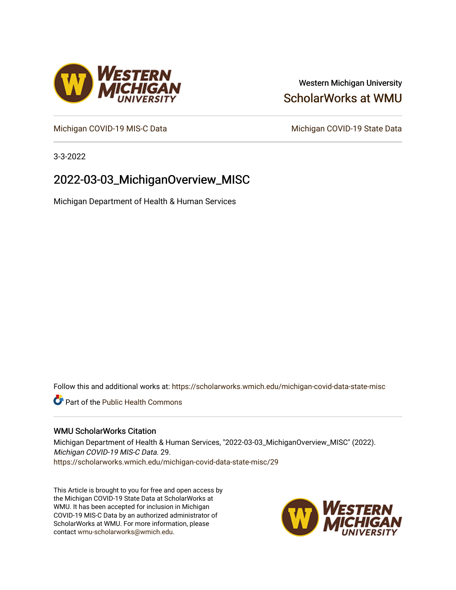## Western Michigan University [ScholarWorks at WMU](https://scholarworks.wmich.edu/)

[Michigan COVID-19 MIS-C Data](https://scholarworks.wmich.edu/michigan-covid-data-state-misc) Michigan COVID-19 State Data

3-3-2022

## 2022-03-03\_MichiganOverview\_MISC

Michigan Department of Health & Human Services

Follow this and additional works at: [https://scholarworks.wmich.edu/michigan-covid-data-state-misc](https://scholarworks.wmich.edu/michigan-covid-data-state-misc?utm_source=scholarworks.wmich.edu%2Fmichigan-covid-data-state-misc%2F29&utm_medium=PDF&utm_campaign=PDFCoverPages) 

**Part of the Public Health Commons** 

#### WMU ScholarWorks Citation

Michigan Department of Health & Human Services, "2022-03-03\_MichiganOverview\_MISC" (2022). Michigan COVID-19 MIS-C Data. 29. [https://scholarworks.wmich.edu/michigan-covid-data-state-misc/29](https://scholarworks.wmich.edu/michigan-covid-data-state-misc/29?utm_source=scholarworks.wmich.edu%2Fmichigan-covid-data-state-misc%2F29&utm_medium=PDF&utm_campaign=PDFCoverPages)

This Article is brought to you for free and open access by the Michigan COVID-19 State Data at ScholarWorks at WMU. It has been accepted for inclusion in Michigan COVID-19 MIS-C Data by an authorized administrator of ScholarWorks at WMU. For more information, please contact [wmu-scholarworks@wmich.edu](mailto:wmu-scholarworks@wmich.edu).